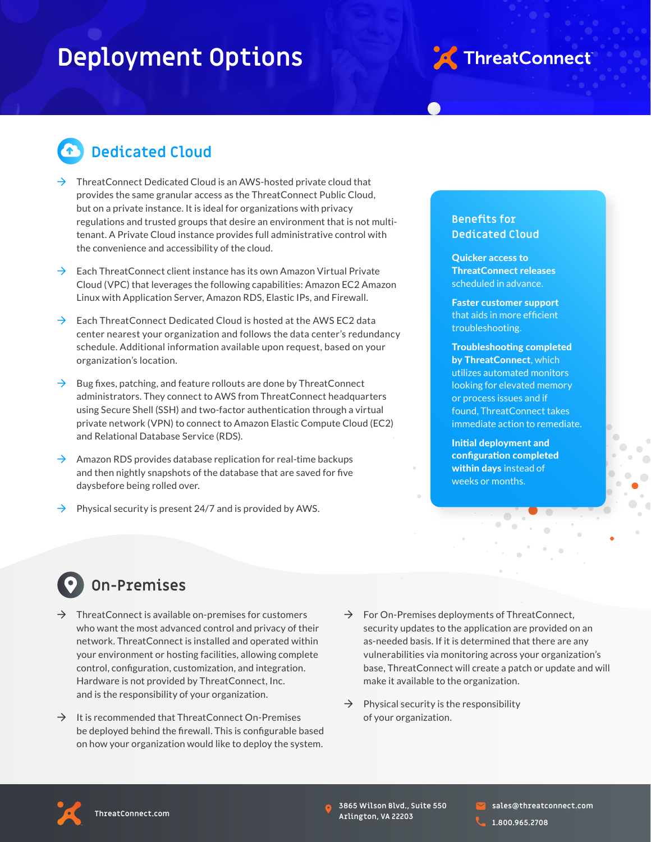# **Deployment Options**



### **Dedicated Cloud**

- ThreatConnect Dedicated Cloud is an AWS-hosted private cloud that provides the same granular access as the ThreatConnect Public Cloud, but on a private instance. It is ideal for organizations with privacy regulations and trusted groups that desire an environment that is not multitenant. A Private Cloud instance provides full administrative control with the convenience and accessibility of the cloud.
- $\rightarrow$  Each ThreatConnect client instance has its own Amazon Virtual Private Cloud (VPC) that leverages the following capabilities: Amazon EC2 Amazon Linux with Application Server, Amazon RDS, Elastic IPs, and Firewall.
- $\rightarrow$  Each ThreatConnect Dedicated Cloud is hosted at the AWS EC2 data center nearest your organization and follows the data center's redundancy schedule. Additional information available upon request, based on your organization's location.
- $\rightarrow$  Bug fixes, patching, and feature rollouts are done by ThreatConnect administrators. They connect to AWS from ThreatConnect headquarters using Secure Shell (SSH) and two-factor authentication through a virtual private network (VPN) to connect to Amazon Elastic Compute Cloud (EC2) and Relational Database Service (RDS).
- $\rightarrow$  Amazon RDS provides database replication for real-time backups and then nightly snapshots of the database that are saved for five daysbefore being rolled over.
- Physical security is present 24/7 and is provided by AWS.

#### **Benefits for Dedicated Cloud**

Quicker access to ThreatConnect releases scheduled in advance.

Faster customer support that aids in more efficient troubleshooting.

Troubleshooting completed by ThreatConnect, which utilizes automated monitors looking for elevated memory or process issues and if found, ThreatConnect takes immediate action to remediate.

Initial deployment and configuration completed within days instead of weeks or months.

## **On-Premises**

- $\rightarrow$  ThreatConnect is available on-premises for customers who want the most advanced control and privacy of their network. ThreatConnect is installed and operated within your environment or hosting facilities, allowing complete control, configuration, customization, and integration. Hardware is not provided by ThreatConnect, Inc. and is the responsibility of your organization.
- $\rightarrow$  It is recommended that ThreatConnect On-Premises be deployed behind the firewall. This is configurable based on how your organization would like to deploy the system.
- $\rightarrow$  For On-Premises deployments of ThreatConnect, security updates to the application are provided on an as-needed basis. If it is determined that there are any vulnerabilities via monitoring across your organization's base, ThreatConnect will create a patch or update and will make it available to the organization.
- Physical security is the responsibility of your organization.



**3865 Wilson Blvd., Suite 550 Arlington, VA 22203**

**sales@threatconnect.com 1.800.965.2708**